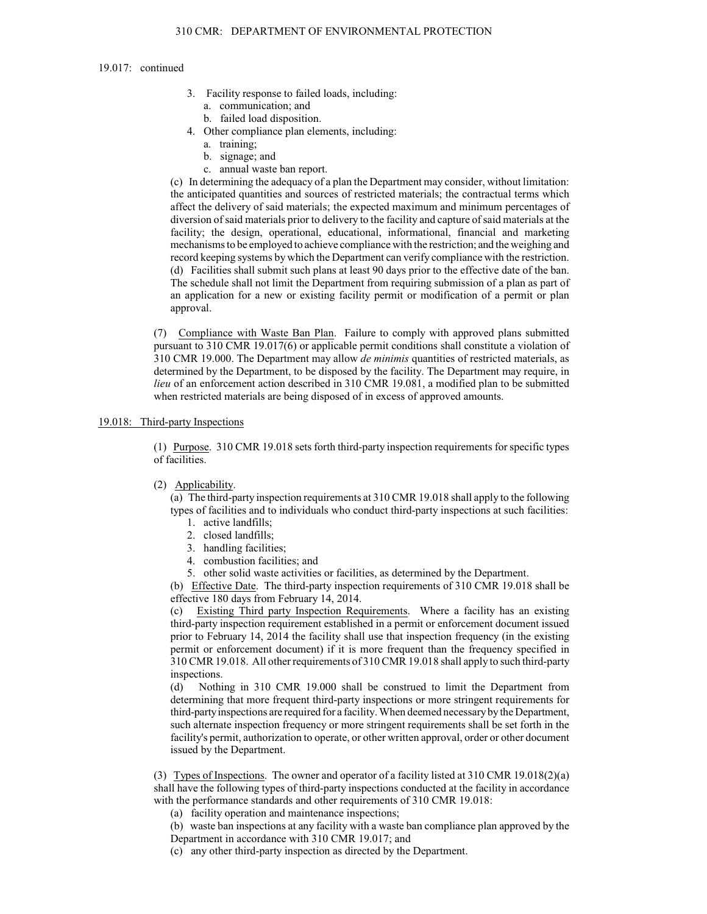## 310 CMR: DEPARTMENT OF ENVIRONMENTAL PROTECTION

#### 19.017: continued

- 3. Facility response to failed loads, including:
	- a. communication; and
	- b. failed load disposition.
- 4. Other compliance plan elements, including:
	- a. training;
	- b. signage; and
	- c. annual waste ban report.

(c) In determining the adequacy of a plan the Department may consider, without limitation: the anticipated quantities and sources of restricted materials; the contractual terms which affect the delivery of said materials; the expected maximum and minimum percentages of diversion of said materials prior to delivery to the facility and capture of said materials at the facility; the design, operational, educational, informational, financial and marketing mechanisms to be employed to achieve compliance with the restriction; and the weighing and record keeping systems by which the Department can verify compliance with the restriction. (d) Facilities shall submit such plans at least 90 days prior to the effective date of the ban. The schedule shall not limit the Department from requiring submission of a plan as part of an application for a new or existing facility permit or modification of a permit or plan approval.

(7) Compliance with Waste Ban Plan. Failure to comply with approved plans submitted pursuant to 310 CMR 19.017(6) or applicable permit conditions shall constitute a violation of 310 CMR 19.000. The Department may allow *de minimis* quantities of restricted materials, as determined by the Department, to be disposed by the facility. The Department may require, in *lieu* of an enforcement action described in 310 CMR 19.081, a modified plan to be submitted when restricted materials are being disposed of in excess of approved amounts.

## 19.018: Third-party Inspections

(1) Purpose. 310 CMR 19.018 sets forth third-party inspection requirements for specific types of facilities.

(2) Applicability.

(a) The third-party inspection requirements at 310 CMR 19.018 shall apply to the following types of facilities and to individuals who conduct third-party inspections at such facilities:

- 1. active landfills;
- 2. closed landfills;
- 3. handling facilities;
- 4. combustion facilities; and
- 5. other solid waste activities or facilities, as determined by the Department.

(b) Effective Date. The third-party inspection requirements of 310 CMR 19.018 shall be effective 180 days from February 14, 2014.

(c) Existing Third party Inspection Requirements. Where a facility has an existing third-party inspection requirement established in a permit or enforcement document issued prior to February 14, 2014 the facility shall use that inspection frequency (in the existing permit or enforcement document) if it is more frequent than the frequency specified in 310 CMR 19.018. All other requirements of 310 CMR 19.018 shall apply to such third-party inspections.

(d) Nothing in 310 CMR 19.000 shall be construed to limit the Department from determining that more frequent third-party inspections or more stringent requirements for third-party inspections are required for a facility. When deemed necessary by the Department, such alternate inspection frequency or more stringent requirements shall be set forth in the facility's permit, authorization to operate, or other written approval, order or other document issued by the Department.

(3) Types of Inspections. The owner and operator of a facility listed at 310 CMR 19.018(2)(a) shall have the following types of third-party inspections conducted at the facility in accordance with the performance standards and other requirements of 310 CMR 19.018:

- (a) facility operation and maintenance inspections;
- (b) waste ban inspections at any facility with a waste ban compliance plan approved by the Department in accordance with 310 CMR 19.017; and
- (c) any other third-party inspection as directed by the Department.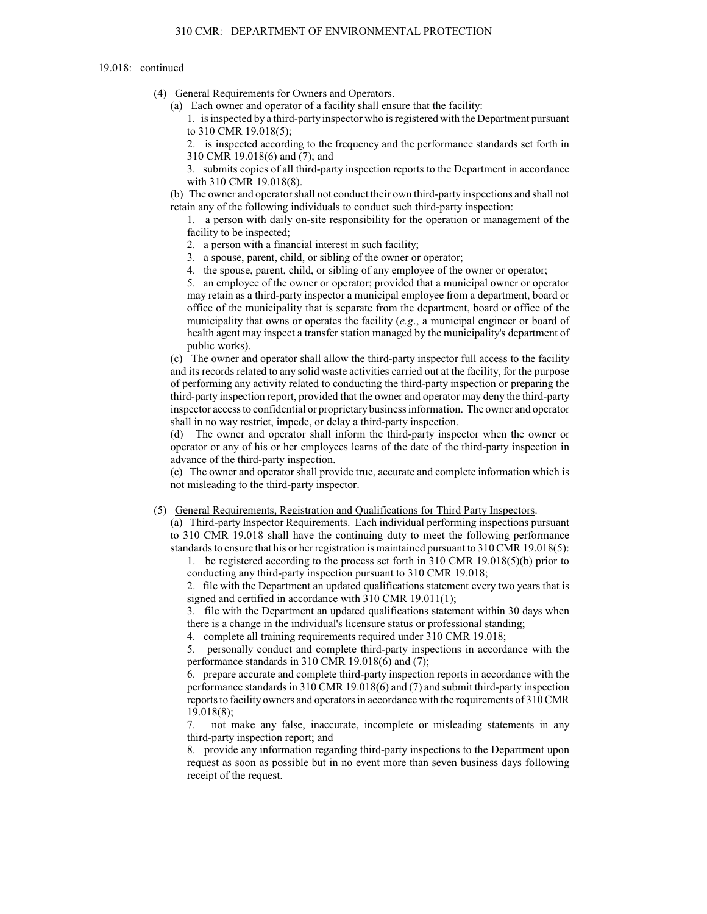## 310 CMR: DEPARTMENT OF ENVIRONMENTAL PROTECTION

#### 19.018: continued

- (4) General Requirements for Owners and Operators.
	- (a) Each owner and operator of a facility shall ensure that the facility:
		- 1. is inspected by a third-party inspector who is registered with the Department pursuant to 310 CMR 19.018(5);

2. is inspected according to the frequency and the performance standards set forth in 310 CMR 19.018(6) and (7); and

3. submits copies of all third-party inspection reports to the Department in accordance with 310 CMR 19.018(8).

(b) The owner and operator shall not conduct their own third-party inspections and shall not retain any of the following individuals to conduct such third-party inspection:

1. a person with daily on-site responsibility for the operation or management of the facility to be inspected;

- 2. a person with a financial interest in such facility;
- 3. a spouse, parent, child, or sibling of the owner or operator;
- 4. the spouse, parent, child, or sibling of any employee of the owner or operator;

5. an employee of the owner or operator; provided that a municipal owner or operator may retain as a third-party inspector a municipal employee from a department, board or office of the municipality that is separate from the department, board or office of the municipality that owns or operates the facility (*e.g*., a municipal engineer or board of health agent may inspect a transfer station managed by the municipality's department of public works).

(c) The owner and operator shall allow the third-party inspector full access to the facility and its records related to any solid waste activities carried out at the facility, for the purpose of performing any activity related to conducting the third-party inspection or preparing the third-party inspection report, provided that the owner and operator may deny the third-party inspector access to confidential or proprietarybusiness information. The owner and operator shall in no way restrict, impede, or delay a third-party inspection.

(d) The owner and operator shall inform the third-party inspector when the owner or operator or any of his or her employees learns of the date of the third-party inspection in advance of the third-party inspection.

(e) The owner and operator shall provide true, accurate and complete information which is not misleading to the third-party inspector.

#### (5) General Requirements, Registration and Qualifications for Third Party Inspectors.

(a) Third-party Inspector Requirements. Each individual performing inspections pursuant to 310 CMR 19.018 shall have the continuing duty to meet the following performance standards to ensure that his or her registration is maintained pursuant to 310 CMR 19.018(5):

1. be registered according to the process set forth in 310 CMR 19.018(5)(b) prior to conducting any third-party inspection pursuant to 310 CMR 19.018;

2. file with the Department an updated qualifications statement every two years that is signed and certified in accordance with 310 CMR 19.011(1);

3. file with the Department an updated qualifications statement within 30 days when there is a change in the individual's licensure status or professional standing;

4. complete all training requirements required under 310 CMR 19.018;

5. personally conduct and complete third-party inspections in accordance with the performance standards in 310 CMR 19.018(6) and (7);

6. prepare accurate and complete third-party inspection reports in accordance with the performance standards in 310 CMR 19.018(6) and (7) and submit third-party inspection reports to facility owners and operators in accordance with the requirements of 310 CMR 19.018(8);

7. not make any false, inaccurate, incomplete or misleading statements in any third-party inspection report; and

8. provide any information regarding third-party inspections to the Department upon request as soon as possible but in no event more than seven business days following receipt of the request.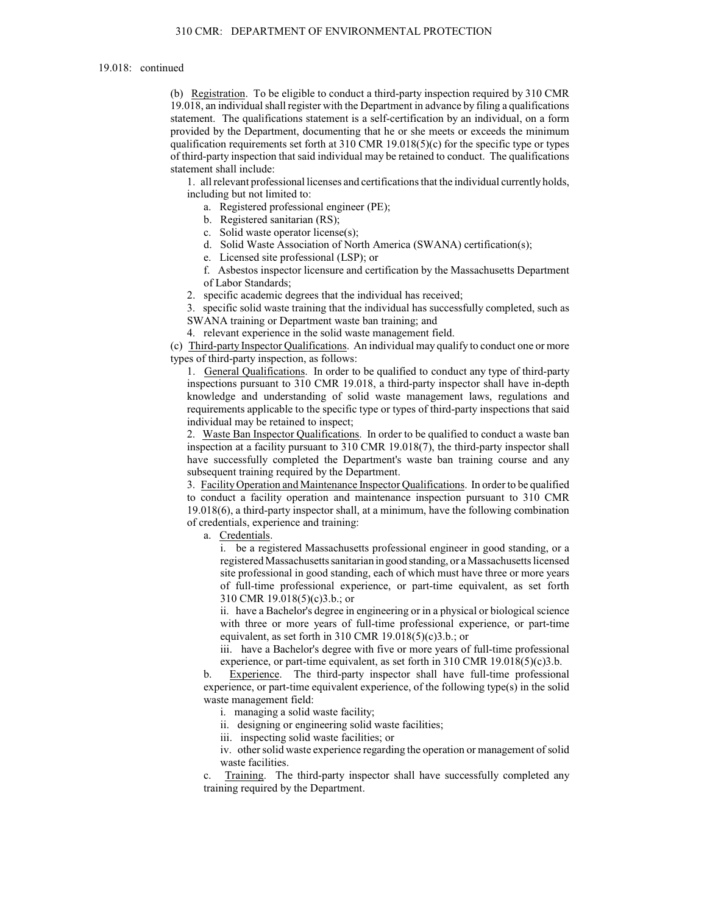(b) Registration. To be eligible to conduct a third-party inspection required by 310 CMR 19.018, an individual shall register with the Department in advance by filing a qualifications statement. The qualifications statement is a self-certification by an individual, on a form provided by the Department, documenting that he or she meets or exceeds the minimum qualification requirements set forth at  $310$  CMR  $19.018(5)(c)$  for the specific type or types of third-party inspection that said individual may be retained to conduct. The qualifications statement shall include:

1. all relevant professional licenses and certifications that the individual currently holds, including but not limited to:

a. Registered professional engineer (PE);

b. Registered sanitarian (RS);

c. Solid waste operator license(s);

d. Solid Waste Association of North America (SWANA) certification(s);

e. Licensed site professional (LSP); or

f. Asbestos inspector licensure and certification by the Massachusetts Department of Labor Standards;

2. specific academic degrees that the individual has received;

3. specific solid waste training that the individual has successfully completed, such as SWANA training or Department waste ban training; and

4. relevant experience in the solid waste management field.

(c) Third-party Inspector Qualifications. An individual may qualify to conduct one or more types of third-party inspection, as follows:

1. General Qualifications. In order to be qualified to conduct any type of third-party inspections pursuant to 310 CMR 19.018, a third-party inspector shall have in-depth knowledge and understanding of solid waste management laws, regulations and requirements applicable to the specific type or types of third-party inspections that said individual may be retained to inspect;

2. Waste Ban Inspector Qualifications. In order to be qualified to conduct a waste ban inspection at a facility pursuant to 310 CMR 19.018(7), the third-party inspector shall have successfully completed the Department's waste ban training course and any subsequent training required by the Department.

3. Facility Operation and Maintenance Inspector Qualifications. In order to be qualified to conduct a facility operation and maintenance inspection pursuant to 310 CMR 19.018(6), a third-party inspector shall, at a minimum, have the following combination of credentials, experience and training:

a. Credentials.

i. be a registered Massachusetts professional engineer in good standing, or a registered Massachusetts sanitarian in good standing, or a Massachusetts licensed site professional in good standing, each of which must have three or more years of full-time professional experience, or part-time equivalent, as set forth 310 CMR 19.018(5)(c)3.b.; or

ii. have a Bachelor's degree in engineering or in a physical or biological science with three or more years of full-time professional experience, or part-time equivalent, as set forth in 310 CMR  $19.018(5)(c)3.b.;$  or

iii. have a Bachelor's degree with five or more years of full-time professional experience, or part-time equivalent, as set forth in 310 CMR 19.018(5)(c)3.b.

b. Experience. The third-party inspector shall have full-time professional experience, or part-time equivalent experience, of the following type(s) in the solid waste management field:

i. managing a solid waste facility;

ii. designing or engineering solid waste facilities;

iii. inspecting solid waste facilities; or

iv. other solid waste experience regarding the operation or management of solid waste facilities.

c. Training. The third-party inspector shall have successfully completed any training required by the Department.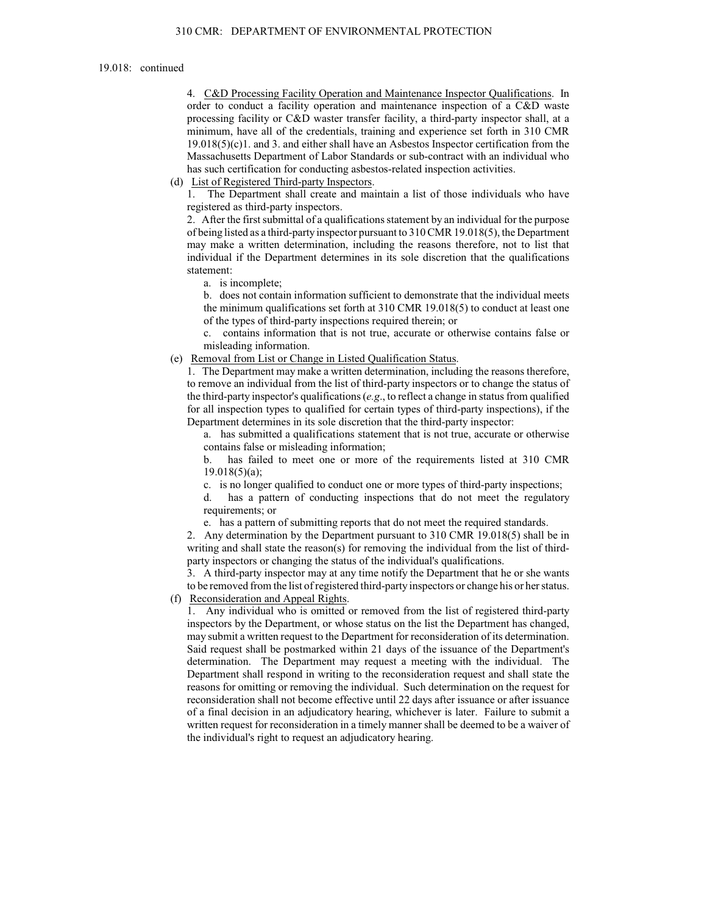4. C&D Processing Facility Operation and Maintenance Inspector Qualifications. In order to conduct a facility operation and maintenance inspection of a C&D waste processing facility or C&D waster transfer facility, a third-party inspector shall, at a minimum, have all of the credentials, training and experience set forth in 310 CMR  $19.018(5)(c)1$ . and 3. and either shall have an Asbestos Inspector certification from the Massachusetts Department of Labor Standards or sub-contract with an individual who has such certification for conducting asbestos-related inspection activities.

(d) List of Registered Third-party Inspectors.

1. The Department shall create and maintain a list of those individuals who have registered as third-party inspectors.

2. After the first submittal of a qualifications statement by an individual for the purpose of being listed as a third-party inspector pursuant to 310 CMR 19.018(5), the Department may make a written determination, including the reasons therefore, not to list that individual if the Department determines in its sole discretion that the qualifications statement:

a. is incomplete;

b. does not contain information sufficient to demonstrate that the individual meets the minimum qualifications set forth at 310 CMR 19.018(5) to conduct at least one of the types of third-party inspections required therein; or

c. contains information that is not true, accurate or otherwise contains false or misleading information.

(e) Removal from List or Change in Listed Qualification Status.

1. The Department may make a written determination, including the reasons therefore, to remove an individual from the list of third-party inspectors or to change the status of the third-party inspector's qualifications (*e.g*., to reflect a change in status from qualified for all inspection types to qualified for certain types of third-party inspections), if the Department determines in its sole discretion that the third-party inspector:

a. has submitted a qualifications statement that is not true, accurate or otherwise contains false or misleading information;

b. has failed to meet one or more of the requirements listed at 310 CMR 19.018(5)(a);

c. is no longer qualified to conduct one or more types of third-party inspections;

d. has a pattern of conducting inspections that do not meet the regulatory requirements; or

e. has a pattern of submitting reports that do not meet the required standards.

2. Any determination by the Department pursuant to 310 CMR 19.018(5) shall be in writing and shall state the reason(s) for removing the individual from the list of thirdparty inspectors or changing the status of the individual's qualifications.

3. A third-party inspector may at any time notify the Department that he or she wants to be removed from the list of registered third-party inspectors or change his or her status.

# (f) Reconsideration and Appeal Rights.

1. Any individual who is omitted or removed from the list of registered third-party inspectors by the Department, or whose status on the list the Department has changed, may submit a written request to the Department for reconsideration of its determination. Said request shall be postmarked within 21 days of the issuance of the Department's determination. The Department may request a meeting with the individual. The Department shall respond in writing to the reconsideration request and shall state the reasons for omitting or removing the individual. Such determination on the request for reconsideration shall not become effective until 22 days after issuance or after issuance of a final decision in an adjudicatory hearing, whichever is later. Failure to submit a written request for reconsideration in a timely manner shall be deemed to be a waiver of the individual's right to request an adjudicatory hearing.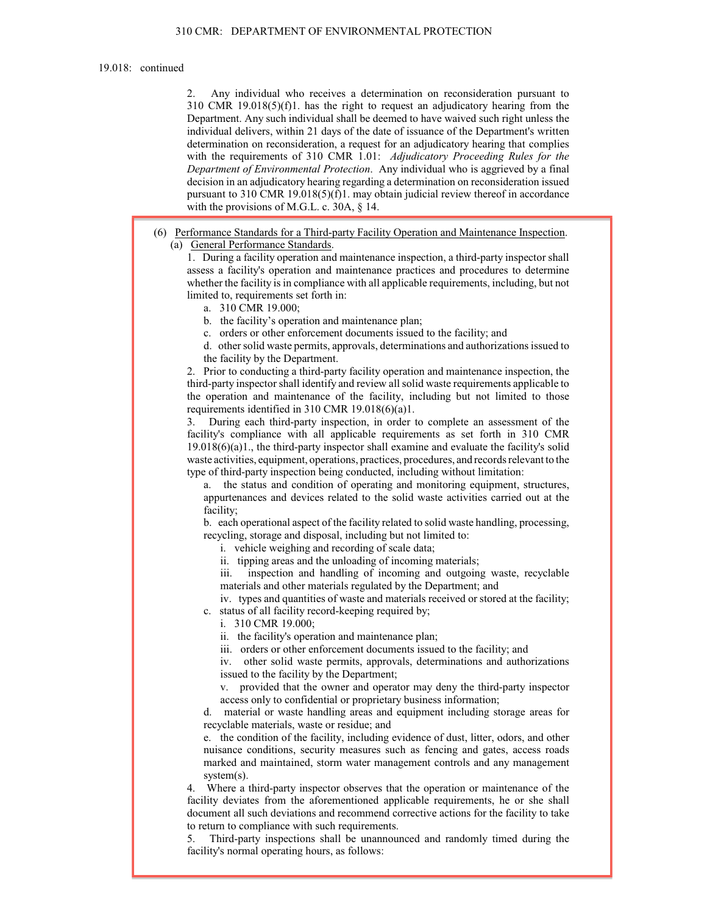2. Any individual who receives a determination on reconsideration pursuant to 310 CMR 19.018(5)(f)1. has the right to request an adjudicatory hearing from the Department. Any such individual shall be deemed to have waived such right unless the individual delivers, within 21 days of the date of issuance of the Department's written determination on reconsideration, a request for an adjudicatory hearing that complies with the requirements of 310 CMR 1.01: *Adjudicatory Proceeding Rules for the Department of Environmental Protection*. Any individual who is aggrieved by a final decision in an adjudicatory hearing regarding a determination on reconsideration issued pursuant to 310 CMR 19.018(5)(f)1. may obtain judicial review thereof in accordance with the provisions of M.G.L. c. 30A,  $\S$  14.

(6) Performance Standards for a Third-party Facility Operation and Maintenance Inspection. (a) General Performance Standards.

1. During a facility operation and maintenance inspection, a third-party inspector shall assess a facility's operation and maintenance practices and procedures to determine whether the facility is in compliance with all applicable requirements, including, but not limited to, requirements set forth in:

a. 310 CMR 19.000;

b. the facility's operation and maintenance plan;

c. orders or other enforcement documents issued to the facility; and

d. other solid waste permits, approvals, determinations and authorizations issued to the facility by the Department.

2. Prior to conducting a third-party facility operation and maintenance inspection, the third-party inspectorshall identify and review all solid waste requirements applicable to the operation and maintenance of the facility, including but not limited to those requirements identified in 310 CMR 19.018(6)(a)1.

3. During each third-party inspection, in order to complete an assessment of the facility's compliance with all applicable requirements as set forth in 310 CMR  $19.018(6)(a)1$ ., the third-party inspector shall examine and evaluate the facility's solid waste activities, equipment, operations, practices, procedures, and records relevant to the type of third-party inspection being conducted, including without limitation:

a. the status and condition of operating and monitoring equipment, structures, appurtenances and devices related to the solid waste activities carried out at the facility;

b. each operational aspect of the facility related to solid waste handling, processing, recycling, storage and disposal, including but not limited to:

i. vehicle weighing and recording of scale data;

ii. tipping areas and the unloading of incoming materials;

iii. inspection and handling of incoming and outgoing waste, recyclable materials and other materials regulated by the Department; and

iv. types and quantities of waste and materials received or stored at the facility; c. status of all facility record-keeping required by;

i. 310 CMR 19.000;

ii. the facility's operation and maintenance plan;

iii. orders or other enforcement documents issued to the facility; and

iv. other solid waste permits, approvals, determinations and authorizations issued to the facility by the Department;

v. provided that the owner and operator may deny the third-party inspector access only to confidential or proprietary business information;

material or waste handling areas and equipment including storage areas for recyclable materials, waste or residue; and

e. the condition of the facility, including evidence of dust, litter, odors, and other nuisance conditions, security measures such as fencing and gates, access roads marked and maintained, storm water management controls and any management system(s).

4. Where a third-party inspector observes that the operation or maintenance of the facility deviates from the aforementioned applicable requirements, he or she shall document all such deviations and recommend corrective actions for the facility to take to return to compliance with such requirements.

5. Third-party inspections shall be unannounced and randomly timed during the facility's normal operating hours, as follows: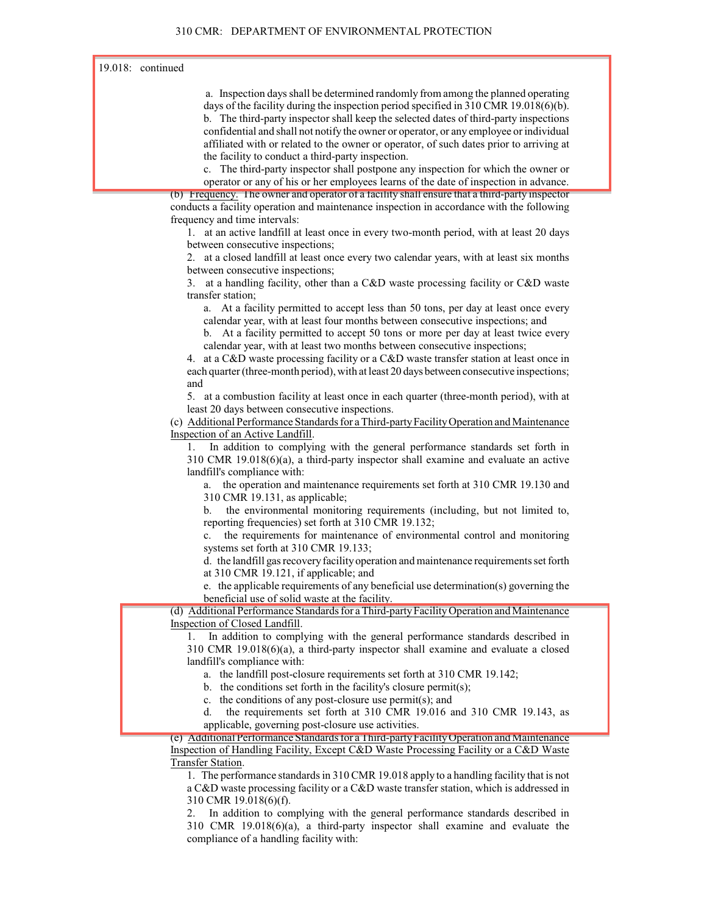a. Inspection days shall be determined randomly from among the planned operating days of the facility during the inspection period specified in 310 CMR 19.018(6)(b). b. The third-party inspector shall keep the selected dates of third-party inspections confidential and shall not notify the owner or operator, or any employee or individual affiliated with or related to the owner or operator, of such dates prior to arriving at the facility to conduct a third-party inspection.

c. The third-party inspector shall postpone any inspection for which the owner or operator or any of his or her employees learns of the date of inspection in advance.

(b) Frequency. The owner and operator of a facility shall ensure that a third-party inspector conducts a facility operation and maintenance inspection in accordance with the following frequency and time intervals:

1. at an active landfill at least once in every two-month period, with at least 20 days between consecutive inspections;

2. at a closed landfill at least once every two calendar years, with at least six months between consecutive inspections;

3. at a handling facility, other than a C&D waste processing facility or C&D waste transfer station;

a. At a facility permitted to accept less than 50 tons, per day at least once every calendar year, with at least four months between consecutive inspections; and

b. At a facility permitted to accept 50 tons or more per day at least twice every calendar year, with at least two months between consecutive inspections;

4. at a C&D waste processing facility or a C&D waste transfer station at least once in each quarter (three-month period), with at least 20 days between consecutive inspections; and

5. at a combustion facility at least once in each quarter (three-month period), with at least 20 days between consecutive inspections.

(c) Additional Performance Standards for a Third-party Facility Operation and Maintenance Inspection of an Active Landfill.

1. In addition to complying with the general performance standards set forth in 310 CMR 19.018(6)(a), a third-party inspector shall examine and evaluate an active landfill's compliance with:

a. the operation and maintenance requirements set forth at 310 CMR 19.130 and 310 CMR 19.131, as applicable;

b. the environmental monitoring requirements (including, but not limited to, reporting frequencies) set forth at 310 CMR 19.132;

c. the requirements for maintenance of environmental control and monitoring systems set forth at 310 CMR 19.133;

d. the landfill gas recoveryfacilityoperation and maintenance requirements set forth at 310 CMR 19.121, if applicable; and

e. the applicable requirements of any beneficial use determination(s) governing the beneficial use of solid waste at the facility.

(d) Additional Performance Standards for a Third-party Facility Operation and Maintenance Inspection of Closed Landfill.

1. In addition to complying with the general performance standards described in 310 CMR 19.018(6)(a), a third-party inspector shall examine and evaluate a closed landfill's compliance with:

a. the landfill post-closure requirements set forth at 310 CMR 19.142;

b. the conditions set forth in the facility's closure permit(s);

c. the conditions of any post-closure use permit(s); and

d. the requirements set forth at 310 CMR 19.016 and 310 CMR 19.143, as applicable, governing post-closure use activities.

(e) Additional Performance Standards for a Third-party Facility Operation and Maintenance Inspection of Handling Facility, Except C&D Waste Processing Facility or a C&D Waste Transfer Station.

1. The performance standards in 310 CMR 19.018 apply to a handling facility that is not a C&D waste processing facility or a C&D waste transfer station, which is addressed in 310 CMR 19.018(6)(f).

In addition to complying with the general performance standards described in 310 CMR 19.018(6)(a), a third-party inspector shall examine and evaluate the compliance of a handling facility with: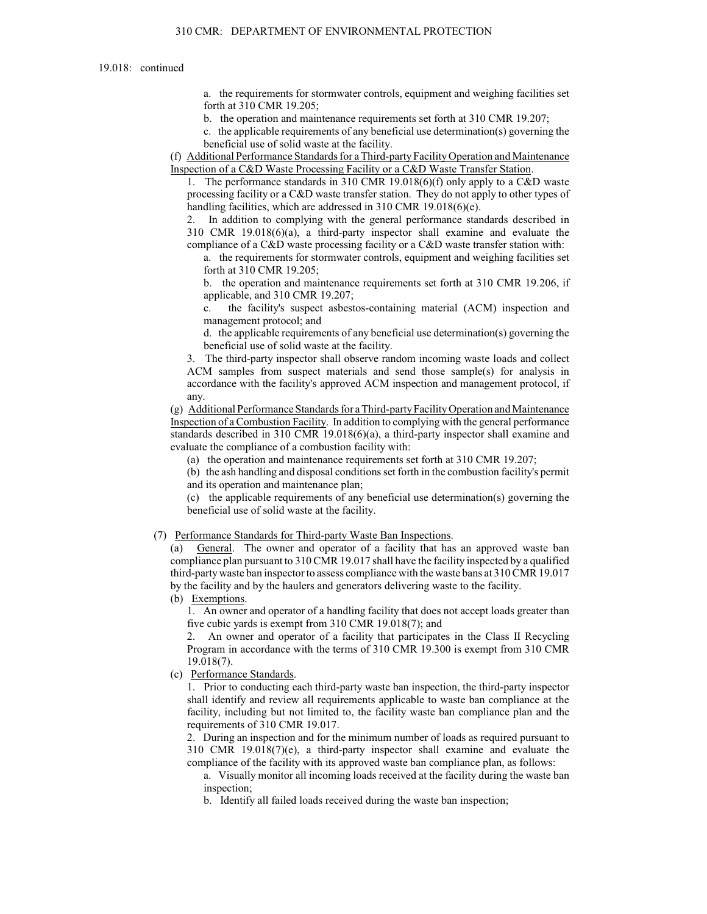a. the requirements for stormwater controls, equipment and weighing facilities set forth at 310 CMR 19.205;

b. the operation and maintenance requirements set forth at 310 CMR 19.207;

c. the applicable requirements of any beneficial use determination(s) governing the beneficial use of solid waste at the facility.

(f) Additional Performance Standards for a Third-party Facility Operation and Maintenance Inspection of a C&D Waste Processing Facility or a C&D Waste Transfer Station.

1. The performance standards in 310 CMR 19.018(6)(f) only apply to a C&D waste processing facility or a C&D waste transfer station. They do not apply to other types of handling facilities, which are addressed in 310 CMR 19.018(6)(e).

2. In addition to complying with the general performance standards described in 310 CMR 19.018(6)(a), a third-party inspector shall examine and evaluate the compliance of a C&D waste processing facility or a C&D waste transfer station with:

a. the requirements for stormwater controls, equipment and weighing facilities set forth at 310 CMR 19.205;

b. the operation and maintenance requirements set forth at 310 CMR 19.206, if applicable, and 310 CMR 19.207;

c. the facility's suspect asbestos-containing material (ACM) inspection and management protocol; and

d. the applicable requirements of any beneficial use determination(s) governing the beneficial use of solid waste at the facility.

3. The third-party inspector shall observe random incoming waste loads and collect ACM samples from suspect materials and send those sample(s) for analysis in accordance with the facility's approved ACM inspection and management protocol, if any.

(g) Additional Performance Standards for a Third-party Facility Operation and Maintenance Inspection of a Combustion Facility. In addition to complying with the general performance standards described in 310 CMR 19.018(6)(a), a third-party inspector shall examine and evaluate the compliance of a combustion facility with:

(a) the operation and maintenance requirements set forth at 310 CMR 19.207;

(b) the ash handling and disposal conditions set forth in the combustion facility's permit and its operation and maintenance plan;

(c) the applicable requirements of any beneficial use determination(s) governing the beneficial use of solid waste at the facility.

#### (7) Performance Standards for Third-party Waste Ban Inspections.

(a) General. The owner and operator of a facility that has an approved waste ban compliance plan pursuant to 310 CMR 19.017 shall have the facility inspected by a qualified third-party waste ban inspector to assess compliance with the waste bans at 310 CMR 19.017 by the facility and by the haulers and generators delivering waste to the facility.

(b) Exemptions.

1. An owner and operator of a handling facility that does not accept loads greater than five cubic yards is exempt from 310 CMR 19.018(7); and

2. An owner and operator of a facility that participates in the Class II Recycling Program in accordance with the terms of 310 CMR 19.300 is exempt from 310 CMR 19.018(7).

(c) Performance Standards.

1. Prior to conducting each third-party waste ban inspection, the third-party inspector shall identify and review all requirements applicable to waste ban compliance at the facility, including but not limited to, the facility waste ban compliance plan and the requirements of 310 CMR 19.017.

2. During an inspection and for the minimum number of loads as required pursuant to 310 CMR 19.018(7)(e), a third-party inspector shall examine and evaluate the compliance of the facility with its approved waste ban compliance plan, as follows:

a. Visually monitor all incoming loads received at the facility during the waste ban inspection;

b. Identify all failed loads received during the waste ban inspection;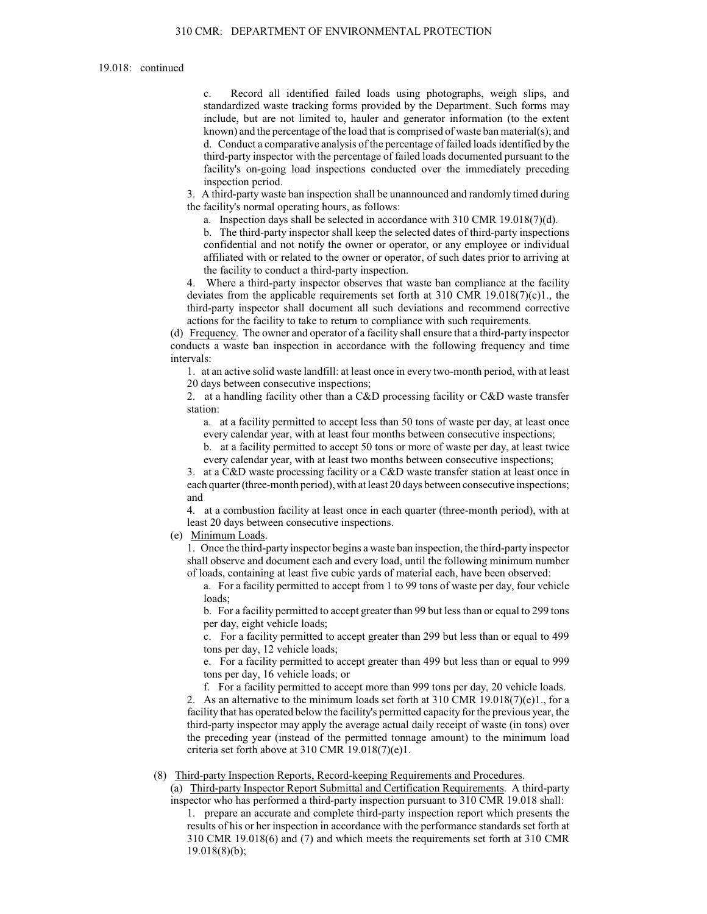c. Record all identified failed loads using photographs, weigh slips, and standardized waste tracking forms provided by the Department. Such forms may include, but are not limited to, hauler and generator information (to the extent known) and the percentage of the load that is comprised of waste ban material(s); and d. Conduct a comparative analysis of the percentage of failed loads identified by the third-party inspector with the percentage of failed loads documented pursuant to the facility's on-going load inspections conducted over the immediately preceding inspection period.

3. A third-party waste ban inspection shall be unannounced and randomly timed during the facility's normal operating hours, as follows:

a. Inspection days shall be selected in accordance with 310 CMR 19.018(7)(d).

b. The third-party inspector shall keep the selected dates of third-party inspections confidential and not notify the owner or operator, or any employee or individual affiliated with or related to the owner or operator, of such dates prior to arriving at the facility to conduct a third-party inspection.

4. Where a third-party inspector observes that waste ban compliance at the facility deviates from the applicable requirements set forth at  $310 \text{ CMR } 19.018(7)(c)1$ ., the third-party inspector shall document all such deviations and recommend corrective actions for the facility to take to return to compliance with such requirements.

(d) Frequency. The owner and operator of a facility shall ensure that a third-party inspector conducts a waste ban inspection in accordance with the following frequency and time intervals:

1. at an active solid waste landfill: at least once in every two-month period, with at least 20 days between consecutive inspections;

2. at a handling facility other than a C&D processing facility or C&D waste transfer station:

a. at a facility permitted to accept less than 50 tons of waste per day, at least once every calendar year, with at least four months between consecutive inspections;

b. at a facility permitted to accept 50 tons or more of waste per day, at least twice every calendar year, with at least two months between consecutive inspections;

3. at a C&D waste processing facility or a C&D waste transfer station at least once in each quarter (three-month period), with at least 20 days between consecutive inspections; and

4. at a combustion facility at least once in each quarter (three-month period), with at least 20 days between consecutive inspections.

(e) Minimum Loads.

1. Once the third-party inspector begins a waste ban inspection, the third-party inspector shall observe and document each and every load, until the following minimum number of loads, containing at least five cubic yards of material each, have been observed:

a. For a facility permitted to accept from 1 to 99 tons of waste per day, four vehicle loads;

b. For a facility permitted to accept greater than 99 but less than or equal to 299 tons per day, eight vehicle loads;

c. For a facility permitted to accept greater than 299 but less than or equal to 499 tons per day, 12 vehicle loads;

e. For a facility permitted to accept greater than 499 but less than or equal to 999 tons per day, 16 vehicle loads; or

f. For a facility permitted to accept more than 999 tons per day, 20 vehicle loads.

2. As an alternative to the minimum loads set forth at  $310$  CMR  $19.018(7)(e)1$ , for a facility that has operated below the facility's permitted capacity for the previous year, the third-party inspector may apply the average actual daily receipt of waste (in tons) over the preceding year (instead of the permitted tonnage amount) to the minimum load criteria set forth above at 310 CMR 19.018(7)(e)1.

#### (8) Third-party Inspection Reports, Record-keeping Requirements and Procedures.

(a) Third-party Inspector Report Submittal and Certification Requirements. A third-party inspector who has performed a third-party inspection pursuant to 310 CMR 19.018 shall:

1. prepare an accurate and complete third-party inspection report which presents the results of his or her inspection in accordance with the performance standards set forth at 310 CMR 19.018(6) and (7) and which meets the requirements set forth at 310 CMR 19.018(8)(b);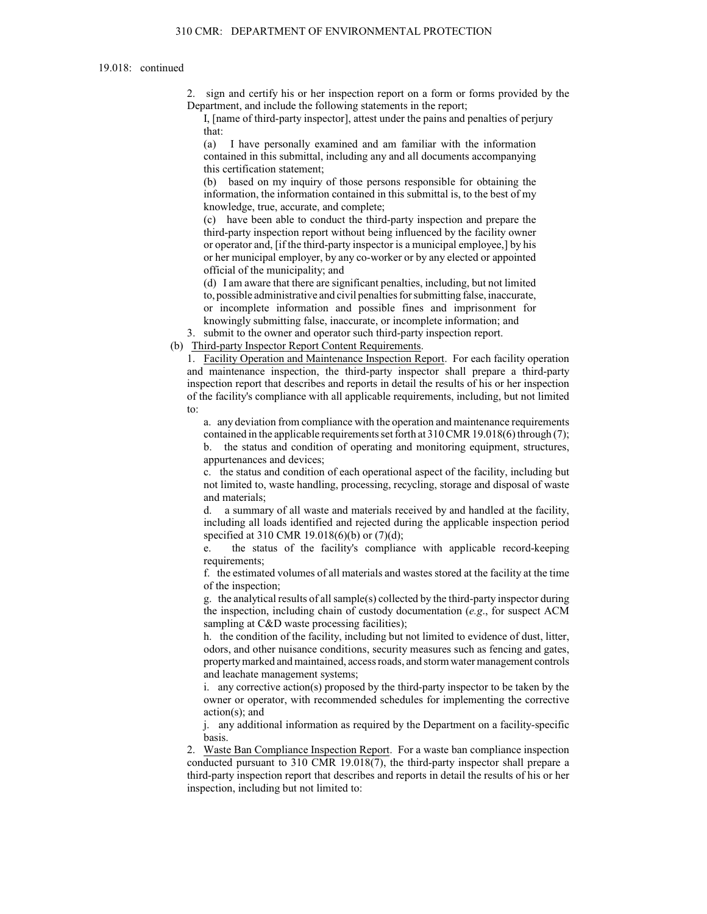2. sign and certify his or her inspection report on a form or forms provided by the Department, and include the following statements in the report;

I, [name of third-party inspector], attest under the pains and penalties of perjury that:

(a) I have personally examined and am familiar with the information contained in this submittal, including any and all documents accompanying this certification statement;

(b) based on my inquiry of those persons responsible for obtaining the information, the information contained in this submittal is, to the best of my knowledge, true, accurate, and complete;

(c) have been able to conduct the third-party inspection and prepare the third-party inspection report without being influenced by the facility owner or operator and, [if the third-party inspector is a municipal employee,] by his or her municipal employer, by any co-worker or by any elected or appointed official of the municipality; and

(d) I am aware that there are significant penalties, including, but not limited to, possible administrative and civil penalties for submitting false, inaccurate, or incomplete information and possible fines and imprisonment for knowingly submitting false, inaccurate, or incomplete information; and

3. submit to the owner and operator such third-party inspection report.

(b) Third-party Inspector Report Content Requirements.

1. Facility Operation and Maintenance Inspection Report. For each facility operation and maintenance inspection, the third-party inspector shall prepare a third-party inspection report that describes and reports in detail the results of his or her inspection of the facility's compliance with all applicable requirements, including, but not limited to:

a. any deviation from compliance with the operation and maintenance requirements contained in the applicable requirements set forth at 310 CMR 19.018(6) through (7);

b. the status and condition of operating and monitoring equipment, structures, appurtenances and devices;

c. the status and condition of each operational aspect of the facility, including but not limited to, waste handling, processing, recycling, storage and disposal of waste and materials;

a summary of all waste and materials received by and handled at the facility, including all loads identified and rejected during the applicable inspection period specified at 310 CMR 19.018(6)(b) or (7)(d);

the status of the facility's compliance with applicable record-keeping requirements;

f. the estimated volumes of all materials and wastes stored at the facility at the time of the inspection;

g. the analytical results of all sample(s) collected by the third-party inspector during the inspection, including chain of custody documentation (*e.g*., for suspect ACM sampling at C&D waste processing facilities);

h. the condition of the facility, including but not limited to evidence of dust, litter, odors, and other nuisance conditions, security measures such as fencing and gates, property marked and maintained, access roads, and storm water management controls and leachate management systems;

i. any corrective action(s) proposed by the third-party inspector to be taken by the owner or operator, with recommended schedules for implementing the corrective action(s); and

j. any additional information as required by the Department on a facility-specific basis.

2. Waste Ban Compliance Inspection Report. For a waste ban compliance inspection conducted pursuant to 310 CMR 19.018(7), the third-party inspector shall prepare a third-party inspection report that describes and reports in detail the results of his or her inspection, including but not limited to: